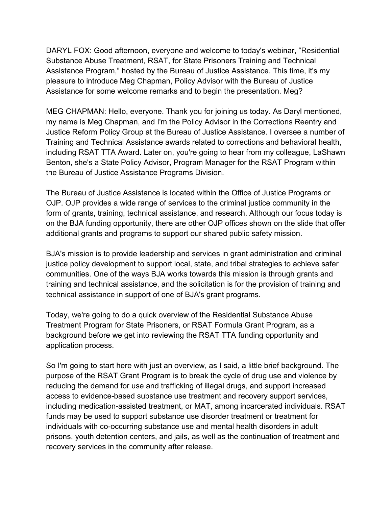DARYL FOX: Good afternoon, everyone and welcome to today's webinar, "Residential Substance Abuse Treatment, RSAT, for State Prisoners Training and Technical Assistance Program," hosted by the Bureau of Justice Assistance. This time, it's my pleasure to introduce Meg Chapman, Policy Advisor with the Bureau of Justice Assistance for some welcome remarks and to begin the presentation. Meg?

MEG CHAPMAN: Hello, everyone. Thank you for joining us today. As Daryl mentioned, my name is Meg Chapman, and I'm the Policy Advisor in the Corrections Reentry and Justice Reform Policy Group at the Bureau of Justice Assistance. I oversee a number of Training and Technical Assistance awards related to corrections and behavioral health, including RSAT TTA Award. Later on, you're going to hear from my colleague, LaShawn Benton, she's a State Policy Advisor, Program Manager for the RSAT Program within the Bureau of Justice Assistance Programs Division.

The Bureau of Justice Assistance is located within the Office of Justice Programs or OJP. OJP provides a wide range of services to the criminal justice community in the form of grants, training, technical assistance, and research. Although our focus today is on the BJA funding opportunity, there are other OJP offices shown on the slide that offer additional grants and programs to support our shared public safety mission.

BJA's mission is to provide leadership and services in grant administration and criminal justice policy development to support local, state, and tribal strategies to achieve safer communities. One of the ways BJA works towards this mission is through grants and training and technical assistance, and the solicitation is for the provision of training and technical assistance in support of one of BJA's grant programs.

Today, we're going to do a quick overview of the Residential Substance Abuse Treatment Program for State Prisoners, or RSAT Formula Grant Program, as a background before we get into reviewing the RSAT TTA funding opportunity and application process.

So I'm going to start here with just an overview, as I said, a little brief background. The purpose of the RSAT Grant Program is to break the cycle of drug use and violence by reducing the demand for use and trafficking of illegal drugs, and support increased access to evidence-based substance use treatment and recovery support services, including medication-assisted treatment, or MAT, among incarcerated individuals. RSAT funds may be used to support substance use disorder treatment or treatment for individuals with co-occurring substance use and mental health disorders in adult prisons, youth detention centers, and jails, as well as the continuation of treatment and recovery services in the community after release.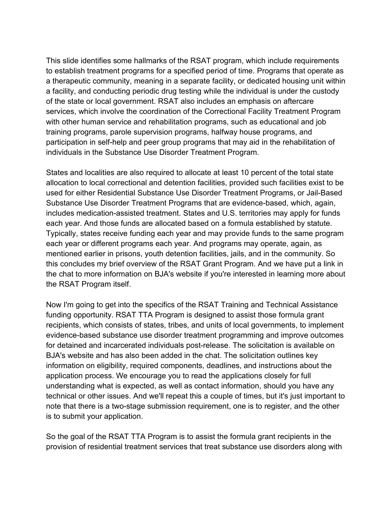This slide identifies some hallmarks of the RSAT program, which include requirements to establish treatment programs for a specified period of time. Programs that operate as a therapeutic community, meaning in a separate facility, or dedicated housing unit within a facility, and conducting periodic drug testing while the individual is under the custody of the state or local government. RSAT also includes an emphasis on aftercare services, which involve the coordination of the Correctional Facility Treatment Program with other human service and rehabilitation programs, such as educational and job training programs, parole supervision programs, halfway house programs, and participation in self-help and peer group programs that may aid in the rehabilitation of individuals in the Substance Use Disorder Treatment Program.

States and localities are also required to allocate at least 10 percent of the total state allocation to local correctional and detention facilities, provided such facilities exist to be used for either Residential Substance Use Disorder Treatment Programs, or Jail-Based Substance Use Disorder Treatment Programs that are evidence-based, which, again, includes medication-assisted treatment. States and U.S. territories may apply for funds each year. And those funds are allocated based on a formula established by statute. Typically, states receive funding each year and may provide funds to the same program each year or different programs each year. And programs may operate, again, as mentioned earlier in prisons, youth detention facilities, jails, and in the community. So this concludes my brief overview of the RSAT Grant Program. And we have put a link in the chat to more information on BJA's website if you're interested in learning more about the RSAT Program itself.

Now I'm going to get into the specifics of the RSAT Training and Technical Assistance funding opportunity. RSAT TTA Program is designed to assist those formula grant recipients, which consists of states, tribes, and units of local governments, to implement evidence-based substance use disorder treatment programming and improve outcomes for detained and incarcerated individuals post-release. The solicitation is available on BJA's website and has also been added in the chat. The solicitation outlines key information on eligibility, required components, deadlines, and instructions about the application process. We encourage you to read the applications closely for full understanding what is expected, as well as contact information, should you have any technical or other issues. And we'll repeat this a couple of times, but it's just important to note that there is a two-stage submission requirement, one is to register, and the other is to submit your application.

So the goal of the RSAT TTA Program is to assist the formula grant recipients in the provision of residential treatment services that treat substance use disorders along with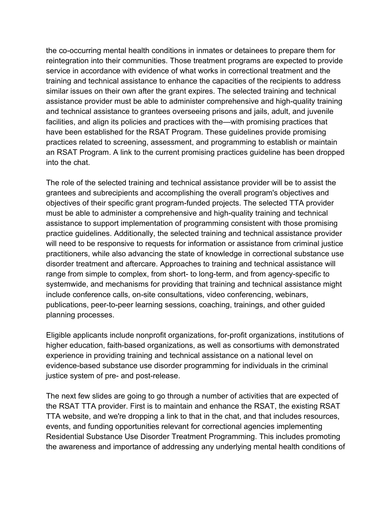the co-occurring mental health conditions in inmates or detainees to prepare them for reintegration into their communities. Those treatment programs are expected to provide service in accordance with evidence of what works in correctional treatment and the training and technical assistance to enhance the capacities of the recipients to address similar issues on their own after the grant expires. The selected training and technical assistance provider must be able to administer comprehensive and high-quality training and technical assistance to grantees overseeing prisons and jails, adult, and juvenile facilities, and align its policies and practices with the—with promising practices that have been established for the RSAT Program. These guidelines provide promising practices related to screening, assessment, and programming to establish or maintain an RSAT Program. A link to the current promising practices guideline has been dropped into the chat.

The role of the selected training and technical assistance provider will be to assist the grantees and subrecipients and accomplishing the overall program's objectives and objectives of their specific grant program-funded projects. The selected TTA provider must be able to administer a comprehensive and high-quality training and technical assistance to support implementation of programming consistent with those promising practice guidelines. Additionally, the selected training and technical assistance provider will need to be responsive to requests for information or assistance from criminal justice practitioners, while also advancing the state of knowledge in correctional substance use disorder treatment and aftercare. Approaches to training and technical assistance will range from simple to complex, from short- to long-term, and from agency-specific to systemwide, and mechanisms for providing that training and technical assistance might include conference calls, on-site consultations, video conferencing, webinars, publications, peer-to-peer learning sessions, coaching, trainings, and other guided planning processes.

Eligible applicants include nonprofit organizations, for-profit organizations, institutions of higher education, faith-based organizations, as well as consortiums with demonstrated experience in providing training and technical assistance on a national level on evidence-based substance use disorder programming for individuals in the criminal justice system of pre- and post-release.

The next few slides are going to go through a number of activities that are expected of the RSAT TTA provider. First is to maintain and enhance the RSAT, the existing RSAT TTA website, and we're dropping a link to that in the chat, and that includes resources, events, and funding opportunities relevant for correctional agencies implementing Residential Substance Use Disorder Treatment Programming. This includes promoting the awareness and importance of addressing any underlying mental health conditions of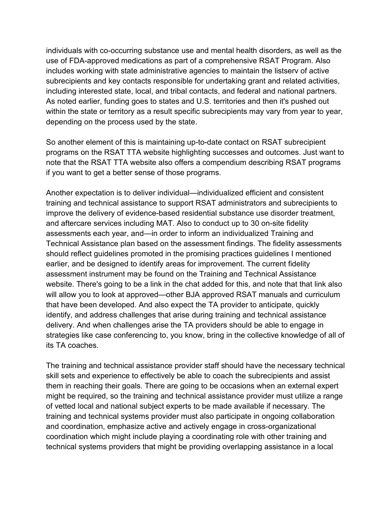individuals with co-occurring substance use and mental health disorders, as well as the use of FDA-approved medications as part of a comprehensive RSAT Program. Also includes working with state administrative agencies to maintain the listserv of active subrecipients and key contacts responsible for undertaking grant and related activities, including interested state, local, and tribal contacts, and federal and national partners. As noted earlier, funding goes to states and U.S. territories and then it's pushed out within the state or territory as a result specific subrecipients may vary from year to year, depending on the process used by the state.

So another element of this is maintaining up-to-date contact on RSAT subrecipient programs on the RSAT TTA website highlighting successes and outcomes. Just want to note that the RSAT TTA website also offers a compendium describing RSAT programs if you want to get a better sense of those programs.

Another expectation is to deliver individual—individualized efficient and consistent training and technical assistance to support RSAT administrators and subrecipients to improve the delivery of evidence-based residential substance use disorder treatment, and aftercare services including MAT. Also to conduct up to 30 on-site fidelity assessments each year, and—in order to inform an individualized Training and Technical Assistance plan based on the assessment findings. The fidelity assessments should reflect guidelines promoted in the promising practices guidelines I mentioned earlier, and be designed to identify areas for improvement. The current fidelity assessment instrument may be found on the Training and Technical Assistance website. There's going to be a link in the chat added for this, and note that that link also will allow you to look at approved—other BJA approved RSAT manuals and curriculum that have been developed. And also expect the TA provider to anticipate, quickly identify, and address challenges that arise during training and technical assistance delivery. And when challenges arise the TA providers should be able to engage in strategies like case conferencing to, you know, bring in the collective knowledge of all of its TA coaches.

The training and technical assistance provider staff should have the necessary technical skill sets and experience to effectively be able to coach the subrecipients and assist them in reaching their goals. There are going to be occasions when an external expert might be required, so the training and technical assistance provider must utilize a range of vetted local and national subject experts to be made available if necessary. The training and technical systems provider must also participate in ongoing collaboration and coordination, emphasize active and actively engage in cross-organizational coordination which might include playing a coordinating role with other training and technical systems providers that might be providing overlapping assistance in a local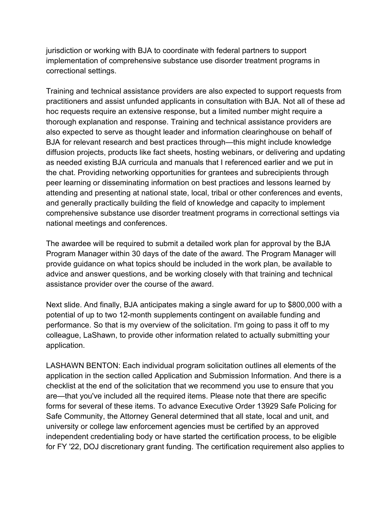jurisdiction or working with BJA to coordinate with federal partners to support implementation of comprehensive substance use disorder treatment programs in correctional settings.

Training and technical assistance providers are also expected to support requests from practitioners and assist unfunded applicants in consultation with BJA. Not all of these ad hoc requests require an extensive response, but a limited number might require a thorough explanation and response. Training and technical assistance providers are also expected to serve as thought leader and information clearinghouse on behalf of BJA for relevant research and best practices through—this might include knowledge diffusion projects, products like fact sheets, hosting webinars, or delivering and updating as needed existing BJA curricula and manuals that I referenced earlier and we put in the chat. Providing networking opportunities for grantees and subrecipients through peer learning or disseminating information on best practices and lessons learned by attending and presenting at national state, local, tribal or other conferences and events, and generally practically building the field of knowledge and capacity to implement comprehensive substance use disorder treatment programs in correctional settings via national meetings and conferences.

The awardee will be required to submit a detailed work plan for approval by the BJA Program Manager within 30 days of the date of the award. The Program Manager will provide guidance on what topics should be included in the work plan, be available to advice and answer questions, and be working closely with that training and technical assistance provider over the course of the award.

Next slide. And finally, BJA anticipates making a single award for up to \$800,000 with a potential of up to two 12-month supplements contingent on available funding and performance. So that is my overview of the solicitation. I'm going to pass it off to my colleague, LaShawn, to provide other information related to actually submitting your application.

LASHAWN BENTON: Each individual program solicitation outlines all elements of the application in the section called Application and Submission Information. And there is a checklist at the end of the solicitation that we recommend you use to ensure that you are—that you've included all the required items. Please note that there are specific forms for several of these items. To advance Executive Order 13929 Safe Policing for Safe Community, the Attorney General determined that all state, local and unit, and university or college law enforcement agencies must be certified by an approved independent credentialing body or have started the certification process, to be eligible for FY '22, DOJ discretionary grant funding. The certification requirement also applies to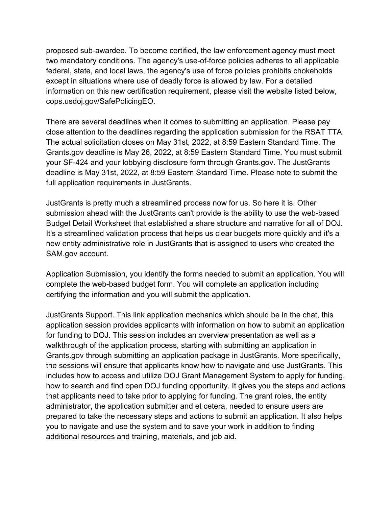proposed sub-awardee. To become certified, the law enforcement agency must meet two mandatory conditions. The agency's use-of-force policies adheres to all applicable federal, state, and local laws, the agency's use of force policies prohibits chokeholds except in situations where use of deadly force is allowed by law. For a detailed information on this new certification requirement, please visit the website listed below, cops.usdoj.gov/SafePolicingEO.

There are several deadlines when it comes to submitting an application. Please pay close attention to the deadlines regarding the application submission for the RSAT TTA. The actual solicitation closes on May 31st, 2022, at 8:59 Eastern Standard Time. The Grants.gov deadline is May 26, 2022, at 8:59 Eastern Standard Time. You must submit your SF-424 and your lobbying disclosure form through Grants.gov. The JustGrants deadline is May 31st, 2022, at 8:59 Eastern Standard Time. Please note to submit the full application requirements in JustGrants.

JustGrants is pretty much a streamlined process now for us. So here it is. Other submission ahead with the JustGrants can't provide is the ability to use the web-based Budget Detail Worksheet that established a share structure and narrative for all of DOJ. It's a streamlined validation process that helps us clear budgets more quickly and it's a new entity administrative role in JustGrants that is assigned to users who created the SAM.gov account.

Application Submission, you identify the forms needed to submit an application. You will complete the web-based budget form. You will complete an application including certifying the information and you will submit the application.

JustGrants Support. This link application mechanics which should be in the chat, this application session provides applicants with information on how to submit an application for funding to DOJ. This session includes an overview presentation as well as a walkthrough of the application process, starting with submitting an application in Grants.gov through submitting an application package in JustGrants. More specifically, the sessions will ensure that applicants know how to navigate and use JustGrants. This includes how to access and utilize DOJ Grant Management System to apply for funding, how to search and find open DOJ funding opportunity. It gives you the steps and actions that applicants need to take prior to applying for funding. The grant roles, the entity administrator, the application submitter and et cetera, needed to ensure users are prepared to take the necessary steps and actions to submit an application. It also helps you to navigate and use the system and to save your work in addition to finding additional resources and training, materials, and job aid.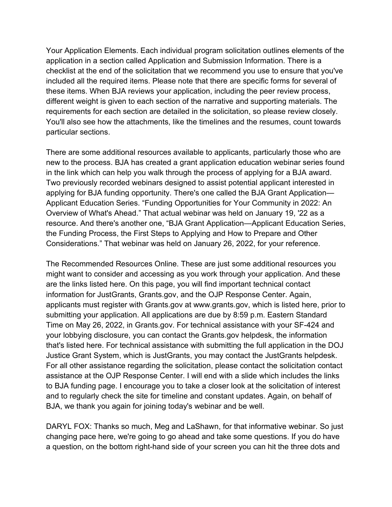Your Application Elements. Each individual program solicitation outlines elements of the application in a section called Application and Submission Information. There is a checklist at the end of the solicitation that we recommend you use to ensure that you've included all the required items. Please note that there are specific forms for several of these items. When BJA reviews your application, including the peer review process, different weight is given to each section of the narrative and supporting materials. The requirements for each section are detailed in the solicitation, so please review closely. You'll also see how the attachments, like the timelines and the resumes, count towards particular sections.

There are some additional resources available to applicants, particularly those who are new to the process. BJA has created a grant application education webinar series found in the link which can help you walk through the process of applying for a BJA award. Two previously recorded webinars designed to assist potential applicant interested in applying for BJA funding opportunity. There's one called the BJA Grant Application— Applicant Education Series. "Funding Opportunities for Your Community in 2022: An Overview of What's Ahead." That actual webinar was held on January 19, '22 as a resource. And there's another one, "BJA Grant Application—Applicant Education Series, the Funding Process, the First Steps to Applying and How to Prepare and Other Considerations." That webinar was held on January 26, 2022, for your reference.

The Recommended Resources Online. These are just some additional resources you might want to consider and accessing as you work through your application. And these are the links listed here. On this page, you will find important technical contact information for JustGrants, Grants.gov, and the OJP Response Center. Again, applicants must register with Grants.gov at www.grants.gov, which is listed here, prior to submitting your application. All applications are due by 8:59 p.m. Eastern Standard Time on May 26, 2022, in Grants.gov. For technical assistance with your SF-424 and your lobbying disclosure, you can contact the Grants.gov helpdesk, the information that's listed here. For technical assistance with submitting the full application in the DOJ Justice Grant System, which is JustGrants, you may contact the JustGrants helpdesk. For all other assistance regarding the solicitation, please contact the solicitation contact assistance at the OJP Response Center. I will end with a slide which includes the links to BJA funding page. I encourage you to take a closer look at the solicitation of interest and to regularly check the site for timeline and constant updates. Again, on behalf of BJA, we thank you again for joining today's webinar and be well.

DARYL FOX: Thanks so much, Meg and LaShawn, for that informative webinar. So just changing pace here, we're going to go ahead and take some questions. If you do have a question, on the bottom right-hand side of your screen you can hit the three dots and